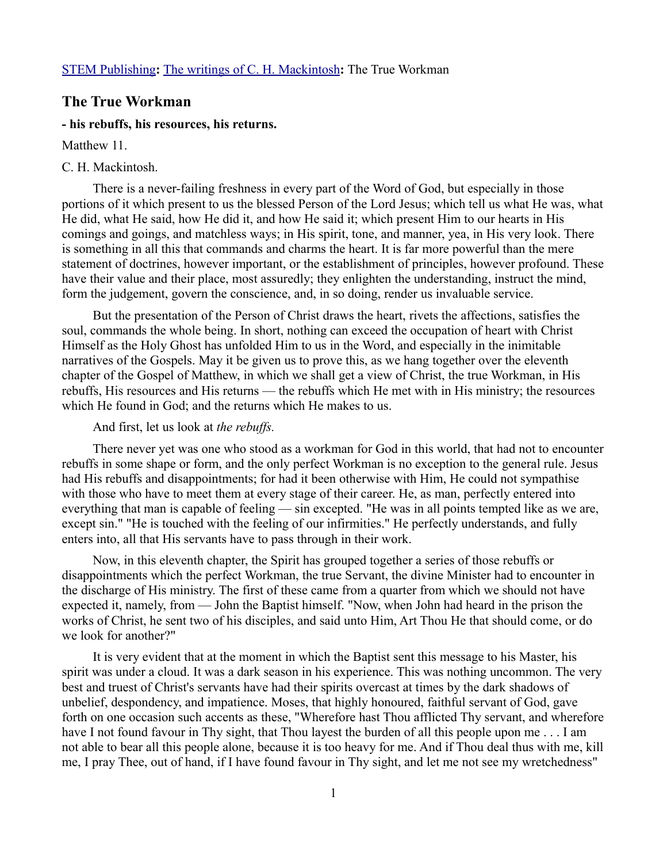## **The True Workman**

## **- his rebuffs, his resources, his returns.**

Matthew 11.

## C. H. Mackintosh.

There is a never-failing freshness in every part of the Word of God, but especially in those portions of it which present to us the blessed Person of the Lord Jesus; which tell us what He was, what He did, what He said, how He did it, and how He said it; which present Him to our hearts in His comings and goings, and matchless ways; in His spirit, tone, and manner, yea, in His very look. There is something in all this that commands and charms the heart. It is far more powerful than the mere statement of doctrines, however important, or the establishment of principles, however profound. These have their value and their place, most assuredly; they enlighten the understanding, instruct the mind, form the judgement, govern the conscience, and, in so doing, render us invaluable service.

But the presentation of the Person of Christ draws the heart, rivets the affections, satisfies the soul, commands the whole being. In short, nothing can exceed the occupation of heart with Christ Himself as the Holy Ghost has unfolded Him to us in the Word, and especially in the inimitable narratives of the Gospels. May it be given us to prove this, as we hang together over the eleventh chapter of the Gospel of Matthew, in which we shall get a view of Christ, the true Workman, in His rebuffs, His resources and His returns — the rebuffs which He met with in His ministry; the resources which He found in God; and the returns which He makes to us.

## And first, let us look at *the rebuffs.*

There never yet was one who stood as a workman for God in this world, that had not to encounter rebuffs in some shape or form, and the only perfect Workman is no exception to the general rule. Jesus had His rebuffs and disappointments; for had it been otherwise with Him, He could not sympathise with those who have to meet them at every stage of their career. He, as man, perfectly entered into everything that man is capable of feeling — sin excepted. "He was in all points tempted like as we are, except sin." "He is touched with the feeling of our infirmities." He perfectly understands, and fully enters into, all that His servants have to pass through in their work.

Now, in this eleventh chapter, the Spirit has grouped together a series of those rebuffs or disappointments which the perfect Workman, the true Servant, the divine Minister had to encounter in the discharge of His ministry. The first of these came from a quarter from which we should not have expected it, namely, from — John the Baptist himself. "Now, when John had heard in the prison the works of Christ, he sent two of his disciples, and said unto Him, Art Thou He that should come, or do we look for another?"

It is very evident that at the moment in which the Baptist sent this message to his Master, his spirit was under a cloud. It was a dark season in his experience. This was nothing uncommon. The very best and truest of Christ's servants have had their spirits overcast at times by the dark shadows of unbelief, despondency, and impatience. Moses, that highly honoured, faithful servant of God, gave forth on one occasion such accents as these, "Wherefore hast Thou afflicted Thy servant, and wherefore have I not found favour in Thy sight, that Thou layest the burden of all this people upon me . . . I am not able to bear all this people alone, because it is too heavy for me. And if Thou deal thus with me, kill me, I pray Thee, out of hand, if I have found favour in Thy sight, and let me not see my wretchedness"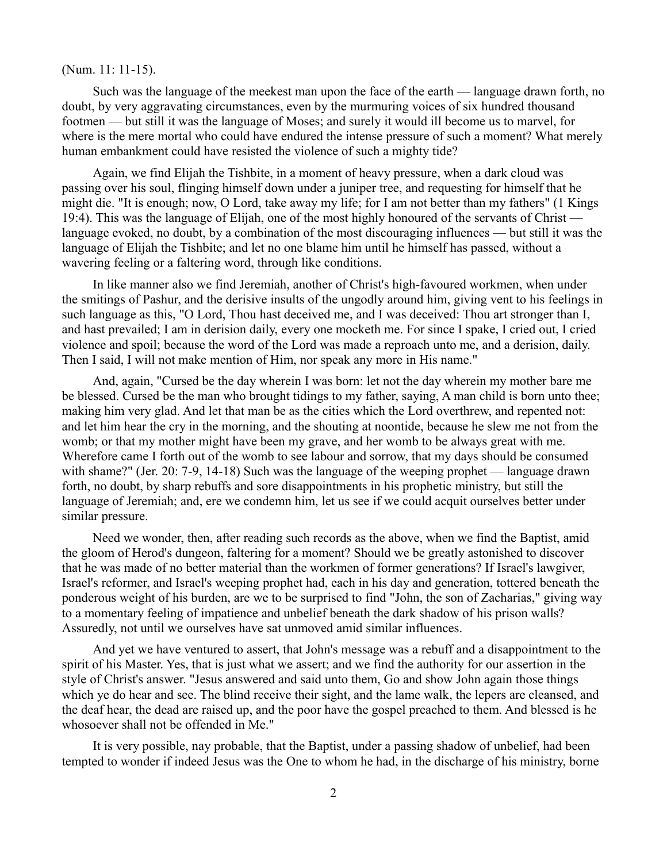(Num. 11: 11-15).

Such was the language of the meekest man upon the face of the earth — language drawn forth, no doubt, by very aggravating circumstances, even by the murmuring voices of six hundred thousand footmen — but still it was the language of Moses; and surely it would ill become us to marvel, for where is the mere mortal who could have endured the intense pressure of such a moment? What merely human embankment could have resisted the violence of such a mighty tide?

Again, we find Elijah the Tishbite, in a moment of heavy pressure, when a dark cloud was passing over his soul, flinging himself down under a juniper tree, and requesting for himself that he might die. "It is enough; now, O Lord, take away my life; for I am not better than my fathers" (1 Kings 19:4). This was the language of Elijah, one of the most highly honoured of the servants of Christ language evoked, no doubt, by a combination of the most discouraging influences — but still it was the language of Elijah the Tishbite; and let no one blame him until he himself has passed, without a wavering feeling or a faltering word, through like conditions.

In like manner also we find Jeremiah, another of Christ's high-favoured workmen, when under the smitings of Pashur, and the derisive insults of the ungodly around him, giving vent to his feelings in such language as this, "O Lord, Thou hast deceived me, and I was deceived: Thou art stronger than I, and hast prevailed; I am in derision daily, every one mocketh me. For since I spake, I cried out, I cried violence and spoil; because the word of the Lord was made a reproach unto me, and a derision, daily. Then I said, I will not make mention of Him, nor speak any more in His name."

And, again, "Cursed be the day wherein I was born: let not the day wherein my mother bare me be blessed. Cursed be the man who brought tidings to my father, saying, A man child is born unto thee; making him very glad. And let that man be as the cities which the Lord overthrew, and repented not: and let him hear the cry in the morning, and the shouting at noontide, because he slew me not from the womb; or that my mother might have been my grave, and her womb to be always great with me. Wherefore came I forth out of the womb to see labour and sorrow, that my days should be consumed with shame?" (Jer. 20: 7-9, 14-18) Such was the language of the weeping prophet — language drawn forth, no doubt, by sharp rebuffs and sore disappointments in his prophetic ministry, but still the language of Jeremiah; and, ere we condemn him, let us see if we could acquit ourselves better under similar pressure.

Need we wonder, then, after reading such records as the above, when we find the Baptist, amid the gloom of Herod's dungeon, faltering for a moment? Should we be greatly astonished to discover that he was made of no better material than the workmen of former generations? If Israel's lawgiver, Israel's reformer, and Israel's weeping prophet had, each in his day and generation, tottered beneath the ponderous weight of his burden, are we to be surprised to find "John, the son of Zacharias," giving way to a momentary feeling of impatience and unbelief beneath the dark shadow of his prison walls? Assuredly, not until we ourselves have sat unmoved amid similar influences.

And yet we have ventured to assert, that John's message was a rebuff and a disappointment to the spirit of his Master. Yes, that is just what we assert; and we find the authority for our assertion in the style of Christ's answer. "Jesus answered and said unto them, Go and show John again those things which ye do hear and see. The blind receive their sight, and the lame walk, the lepers are cleansed, and the deaf hear, the dead are raised up, and the poor have the gospel preached to them. And blessed is he whosoever shall not be offended in Me."

It is very possible, nay probable, that the Baptist, under a passing shadow of unbelief, had been tempted to wonder if indeed Jesus was the One to whom he had, in the discharge of his ministry, borne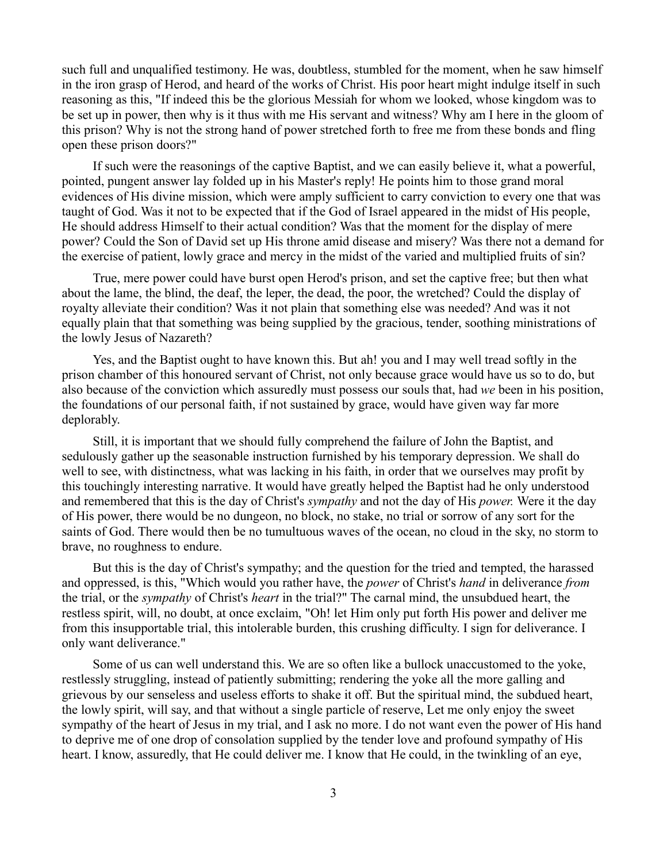such full and unqualified testimony. He was, doubtless, stumbled for the moment, when he saw himself in the iron grasp of Herod, and heard of the works of Christ. His poor heart might indulge itself in such reasoning as this, "If indeed this be the glorious Messiah for whom we looked, whose kingdom was to be set up in power, then why is it thus with me His servant and witness? Why am I here in the gloom of this prison? Why is not the strong hand of power stretched forth to free me from these bonds and fling open these prison doors?"

If such were the reasonings of the captive Baptist, and we can easily believe it, what a powerful, pointed, pungent answer lay folded up in his Master's reply! He points him to those grand moral evidences of His divine mission, which were amply sufficient to carry conviction to every one that was taught of God. Was it not to be expected that if the God of Israel appeared in the midst of His people, He should address Himself to their actual condition? Was that the moment for the display of mere power? Could the Son of David set up His throne amid disease and misery? Was there not a demand for the exercise of patient, lowly grace and mercy in the midst of the varied and multiplied fruits of sin?

True, mere power could have burst open Herod's prison, and set the captive free; but then what about the lame, the blind, the deaf, the leper, the dead, the poor, the wretched? Could the display of royalty alleviate their condition? Was it not plain that something else was needed? And was it not equally plain that that something was being supplied by the gracious, tender, soothing ministrations of the lowly Jesus of Nazareth?

Yes, and the Baptist ought to have known this. But ah! you and I may well tread softly in the prison chamber of this honoured servant of Christ, not only because grace would have us so to do, but also because of the conviction which assuredly must possess our souls that, had *we* been in his position, the foundations of our personal faith, if not sustained by grace, would have given way far more deplorably.

Still, it is important that we should fully comprehend the failure of John the Baptist, and sedulously gather up the seasonable instruction furnished by his temporary depression. We shall do well to see, with distinctness, what was lacking in his faith, in order that we ourselves may profit by this touchingly interesting narrative. It would have greatly helped the Baptist had he only understood and remembered that this is the day of Christ's *sympathy* and not the day of His *power.* Were it the day of His power, there would be no dungeon, no block, no stake, no trial or sorrow of any sort for the saints of God. There would then be no tumultuous waves of the ocean, no cloud in the sky, no storm to brave, no roughness to endure.

But this is the day of Christ's sympathy; and the question for the tried and tempted, the harassed and oppressed, is this, "Which would you rather have, the *power* of Christ's *hand* in deliverance *from* the trial, or the *sympathy* of Christ's *heart* in the trial?" The carnal mind, the unsubdued heart, the restless spirit, will, no doubt, at once exclaim, "Oh! let Him only put forth His power and deliver me from this insupportable trial, this intolerable burden, this crushing difficulty. I sign for deliverance. I only want deliverance."

Some of us can well understand this. We are so often like a bullock unaccustomed to the yoke, restlessly struggling, instead of patiently submitting; rendering the yoke all the more galling and grievous by our senseless and useless efforts to shake it off. But the spiritual mind, the subdued heart, the lowly spirit, will say, and that without a single particle of reserve, Let me only enjoy the sweet sympathy of the heart of Jesus in my trial, and I ask no more. I do not want even the power of His hand to deprive me of one drop of consolation supplied by the tender love and profound sympathy of His heart. I know, assuredly, that He could deliver me. I know that He could, in the twinkling of an eye,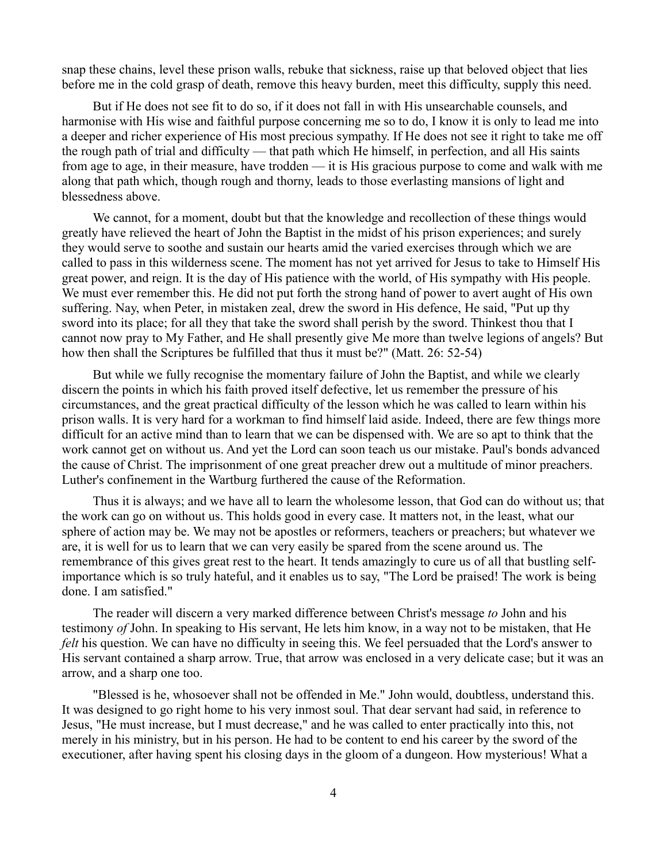snap these chains, level these prison walls, rebuke that sickness, raise up that beloved object that lies before me in the cold grasp of death, remove this heavy burden, meet this difficulty, supply this need.

But if He does not see fit to do so, if it does not fall in with His unsearchable counsels, and harmonise with His wise and faithful purpose concerning me so to do, I know it is only to lead me into a deeper and richer experience of His most precious sympathy. If He does not see it right to take me off the rough path of trial and difficulty — that path which He himself, in perfection, and all His saints from age to age, in their measure, have trodden — it is His gracious purpose to come and walk with me along that path which, though rough and thorny, leads to those everlasting mansions of light and blessedness above.

We cannot, for a moment, doubt but that the knowledge and recollection of these things would greatly have relieved the heart of John the Baptist in the midst of his prison experiences; and surely they would serve to soothe and sustain our hearts amid the varied exercises through which we are called to pass in this wilderness scene. The moment has not yet arrived for Jesus to take to Himself His great power, and reign. It is the day of His patience with the world, of His sympathy with His people. We must ever remember this. He did not put forth the strong hand of power to avert aught of His own suffering. Nay, when Peter, in mistaken zeal, drew the sword in His defence, He said, "Put up thy sword into its place; for all they that take the sword shall perish by the sword. Thinkest thou that I cannot now pray to My Father, and He shall presently give Me more than twelve legions of angels? But how then shall the Scriptures be fulfilled that thus it must be?" (Matt. 26: 52-54)

But while we fully recognise the momentary failure of John the Baptist, and while we clearly discern the points in which his faith proved itself defective, let us remember the pressure of his circumstances, and the great practical difficulty of the lesson which he was called to learn within his prison walls. It is very hard for a workman to find himself laid aside. Indeed, there are few things more difficult for an active mind than to learn that we can be dispensed with. We are so apt to think that the work cannot get on without us. And yet the Lord can soon teach us our mistake. Paul's bonds advanced the cause of Christ. The imprisonment of one great preacher drew out a multitude of minor preachers. Luther's confinement in the Wartburg furthered the cause of the Reformation.

Thus it is always; and we have all to learn the wholesome lesson, that God can do without us; that the work can go on without us. This holds good in every case. It matters not, in the least, what our sphere of action may be. We may not be apostles or reformers, teachers or preachers; but whatever we are, it is well for us to learn that we can very easily be spared from the scene around us. The remembrance of this gives great rest to the heart. It tends amazingly to cure us of all that bustling selfimportance which is so truly hateful, and it enables us to say, "The Lord be praised! The work is being done. I am satisfied."

The reader will discern a very marked difference between Christ's message *to* John and his testimony *of* John. In speaking to His servant, He lets him know, in a way not to be mistaken, that He *felt* his question. We can have no difficulty in seeing this. We feel persuaded that the Lord's answer to His servant contained a sharp arrow. True, that arrow was enclosed in a very delicate case; but it was an arrow, and a sharp one too.

"Blessed is he, whosoever shall not be offended in Me." John would, doubtless, understand this. It was designed to go right home to his very inmost soul. That dear servant had said, in reference to Jesus, "He must increase, but I must decrease," and he was called to enter practically into this, not merely in his ministry, but in his person. He had to be content to end his career by the sword of the executioner, after having spent his closing days in the gloom of a dungeon. How mysterious! What a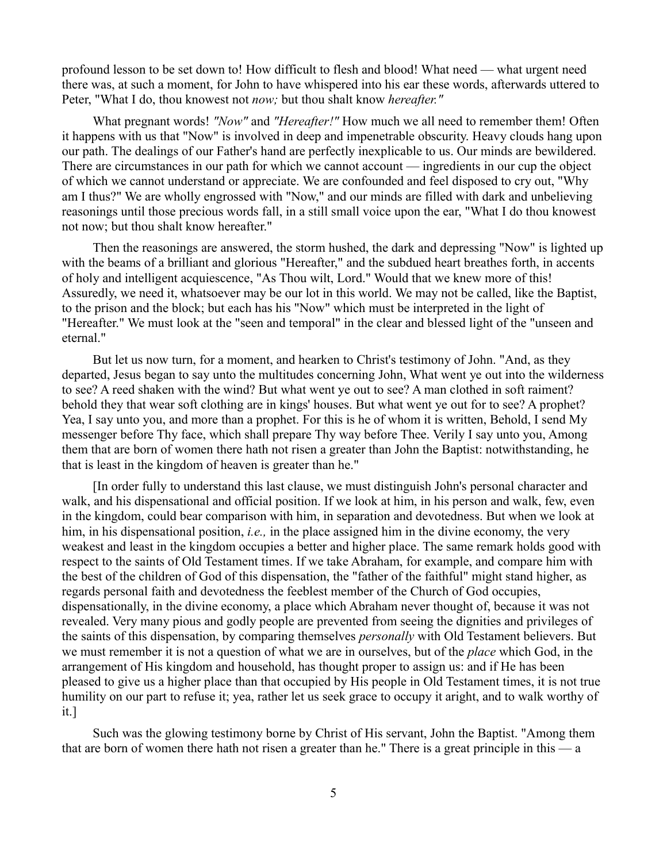profound lesson to be set down to! How difficult to flesh and blood! What need — what urgent need there was, at such a moment, for John to have whispered into his ear these words, afterwards uttered to Peter, "What I do, thou knowest not *now;* but thou shalt know *hereafter."*

What pregnant words! *"Now"* and *"Hereafter!"* How much we all need to remember them! Often it happens with us that "Now" is involved in deep and impenetrable obscurity. Heavy clouds hang upon our path. The dealings of our Father's hand are perfectly inexplicable to us. Our minds are bewildered. There are circumstances in our path for which we cannot account — ingredients in our cup the object of which we cannot understand or appreciate. We are confounded and feel disposed to cry out, "Why am I thus?" We are wholly engrossed with "Now," and our minds are filled with dark and unbelieving reasonings until those precious words fall, in a still small voice upon the ear, "What I do thou knowest not now; but thou shalt know hereafter."

Then the reasonings are answered, the storm hushed, the dark and depressing "Now" is lighted up with the beams of a brilliant and glorious "Hereafter," and the subdued heart breathes forth, in accents of holy and intelligent acquiescence, "As Thou wilt, Lord." Would that we knew more of this! Assuredly, we need it, whatsoever may be our lot in this world. We may not be called, like the Baptist, to the prison and the block; but each has his "Now" which must be interpreted in the light of "Hereafter." We must look at the "seen and temporal" in the clear and blessed light of the "unseen and eternal."

But let us now turn, for a moment, and hearken to Christ's testimony of John. "And, as they departed, Jesus began to say unto the multitudes concerning John, What went ye out into the wilderness to see? A reed shaken with the wind? But what went ye out to see? A man clothed in soft raiment? behold they that wear soft clothing are in kings' houses. But what went ye out for to see? A prophet? Yea, I say unto you, and more than a prophet. For this is he of whom it is written, Behold, I send My messenger before Thy face, which shall prepare Thy way before Thee. Verily I say unto you, Among them that are born of women there hath not risen a greater than John the Baptist: notwithstanding, he that is least in the kingdom of heaven is greater than he."

[In order fully to understand this last clause, we must distinguish John's personal character and walk, and his dispensational and official position. If we look at him, in his person and walk, few, even in the kingdom, could bear comparison with him, in separation and devotedness. But when we look at him, in his dispensational position, *i.e.,* in the place assigned him in the divine economy, the very weakest and least in the kingdom occupies a better and higher place. The same remark holds good with respect to the saints of Old Testament times. If we take Abraham, for example, and compare him with the best of the children of God of this dispensation, the "father of the faithful" might stand higher, as regards personal faith and devotedness the feeblest member of the Church of God occupies, dispensationally, in the divine economy, a place which Abraham never thought of, because it was not revealed. Very many pious and godly people are prevented from seeing the dignities and privileges of the saints of this dispensation, by comparing themselves *personally* with Old Testament believers. But we must remember it is not a question of what we are in ourselves, but of the *place* which God, in the arrangement of His kingdom and household, has thought proper to assign us: and if He has been pleased to give us a higher place than that occupied by His people in Old Testament times, it is not true humility on our part to refuse it; yea, rather let us seek grace to occupy it aright, and to walk worthy of it.]

Such was the glowing testimony borne by Christ of His servant, John the Baptist. "Among them that are born of women there hath not risen a greater than he." There is a great principle in this  $\overline{\phantom{a}}$  a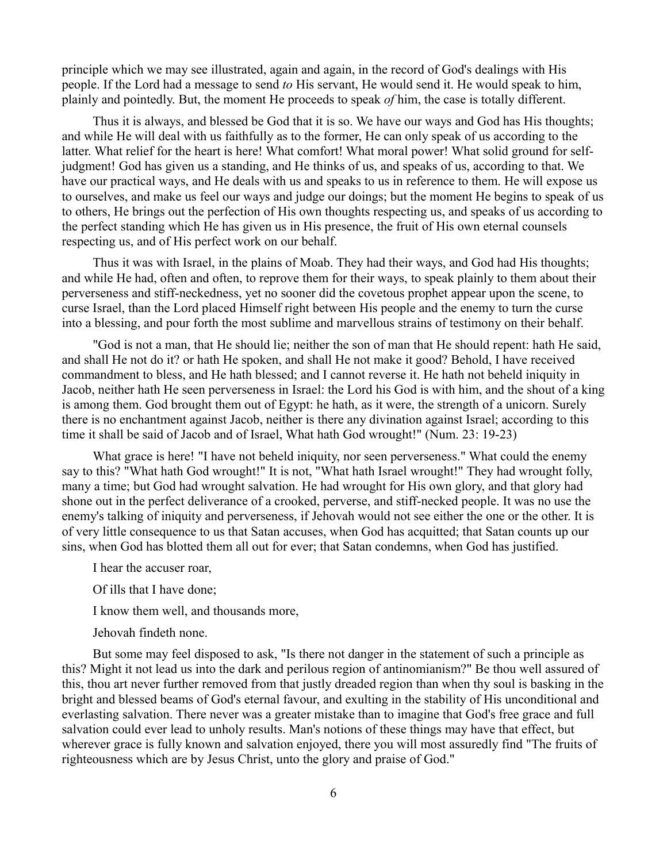principle which we may see illustrated, again and again, in the record of God's dealings with His people. If the Lord had a message to send *to* His servant, He would send it. He would speak to him, plainly and pointedly. But, the moment He proceeds to speak *of* him, the case is totally different.

Thus it is always, and blessed be God that it is so. We have our ways and God has His thoughts; and while He will deal with us faithfully as to the former, He can only speak of us according to the latter. What relief for the heart is here! What comfort! What moral power! What solid ground for selfjudgment! God has given us a standing, and He thinks of us, and speaks of us, according to that. We have our practical ways, and He deals with us and speaks to us in reference to them. He will expose us to ourselves, and make us feel our ways and judge our doings; but the moment He begins to speak of us to others, He brings out the perfection of His own thoughts respecting us, and speaks of us according to the perfect standing which He has given us in His presence, the fruit of His own eternal counsels respecting us, and of His perfect work on our behalf.

Thus it was with Israel, in the plains of Moab. They had their ways, and God had His thoughts; and while He had, often and often, to reprove them for their ways, to speak plainly to them about their perverseness and stiff-neckedness, yet no sooner did the covetous prophet appear upon the scene, to curse Israel, than the Lord placed Himself right between His people and the enemy to turn the curse into a blessing, and pour forth the most sublime and marvellous strains of testimony on their behalf.

"God is not a man, that He should lie; neither the son of man that He should repent: hath He said, and shall He not do it? or hath He spoken, and shall He not make it good? Behold, I have received commandment to bless, and He hath blessed; and I cannot reverse it. He hath not beheld iniquity in Jacob, neither hath He seen perverseness in Israel: the Lord his God is with him, and the shout of a king is among them. God brought them out of Egypt: he hath, as it were, the strength of a unicorn. Surely there is no enchantment against Jacob, neither is there any divination against Israel; according to this time it shall be said of Jacob and of Israel, What hath God wrought!" (Num. 23: 19-23)

What grace is here! "I have not beheld iniquity, nor seen perverseness." What could the enemy say to this? "What hath God wrought!" It is not, "What hath Israel wrought!" They had wrought folly, many a time; but God had wrought salvation. He had wrought for His own glory, and that glory had shone out in the perfect deliverance of a crooked, perverse, and stiff-necked people. It was no use the enemy's talking of iniquity and perverseness, if Jehovah would not see either the one or the other. It is of very little consequence to us that Satan accuses, when God has acquitted; that Satan counts up our sins, when God has blotted them all out for ever; that Satan condemns, when God has justified.

I hear the accuser roar,

Of ills that I have done;

I know them well, and thousands more,

Jehovah findeth none.

But some may feel disposed to ask, "Is there not danger in the statement of such a principle as this? Might it not lead us into the dark and perilous region of antinomianism?" Be thou well assured of this, thou art never further removed from that justly dreaded region than when thy soul is basking in the bright and blessed beams of God's eternal favour, and exulting in the stability of His unconditional and everlasting salvation. There never was a greater mistake than to imagine that God's free grace and full salvation could ever lead to unholy results. Man's notions of these things may have that effect, but wherever grace is fully known and salvation enjoyed, there you will most assuredly find "The fruits of righteousness which are by Jesus Christ, unto the glory and praise of God."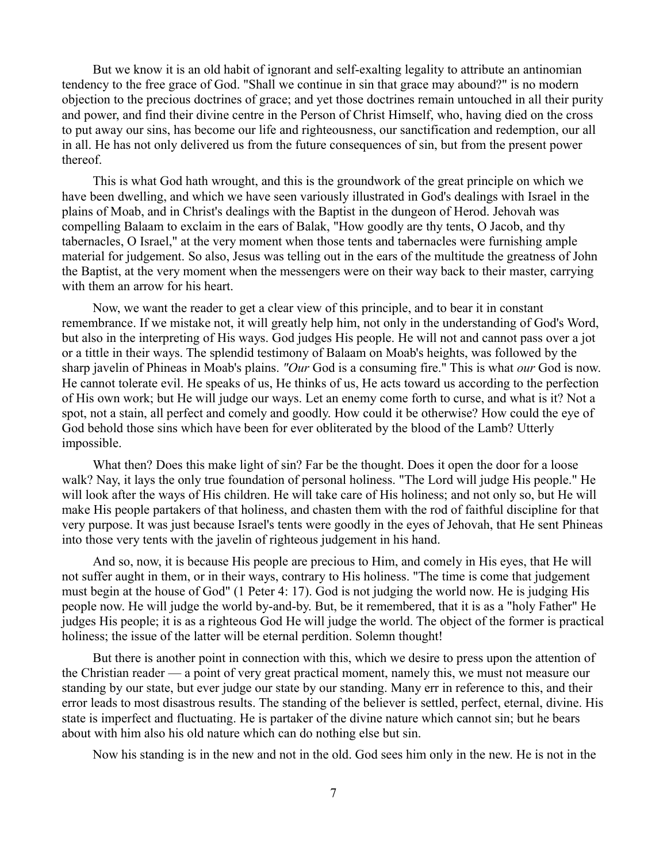But we know it is an old habit of ignorant and self-exalting legality to attribute an antinomian tendency to the free grace of God. "Shall we continue in sin that grace may abound?" is no modern objection to the precious doctrines of grace; and yet those doctrines remain untouched in all their purity and power, and find their divine centre in the Person of Christ Himself, who, having died on the cross to put away our sins, has become our life and righteousness, our sanctification and redemption, our all in all. He has not only delivered us from the future consequences of sin, but from the present power thereof.

This is what God hath wrought, and this is the groundwork of the great principle on which we have been dwelling, and which we have seen variously illustrated in God's dealings with Israel in the plains of Moab, and in Christ's dealings with the Baptist in the dungeon of Herod. Jehovah was compelling Balaam to exclaim in the ears of Balak, "How goodly are thy tents, O Jacob, and thy tabernacles, O Israel," at the very moment when those tents and tabernacles were furnishing ample material for judgement. So also, Jesus was telling out in the ears of the multitude the greatness of John the Baptist, at the very moment when the messengers were on their way back to their master, carrying with them an arrow for his heart.

Now, we want the reader to get a clear view of this principle, and to bear it in constant remembrance. If we mistake not, it will greatly help him, not only in the understanding of God's Word, but also in the interpreting of His ways. God judges His people. He will not and cannot pass over a jot or a tittle in their ways. The splendid testimony of Balaam on Moab's heights, was followed by the sharp javelin of Phineas in Moab's plains. *"Our* God is a consuming fire." This is what *our* God is now. He cannot tolerate evil. He speaks of us, He thinks of us, He acts toward us according to the perfection of His own work; but He will judge our ways. Let an enemy come forth to curse, and what is it? Not a spot, not a stain, all perfect and comely and goodly. How could it be otherwise? How could the eye of God behold those sins which have been for ever obliterated by the blood of the Lamb? Utterly impossible.

What then? Does this make light of sin? Far be the thought. Does it open the door for a loose walk? Nay, it lays the only true foundation of personal holiness. "The Lord will judge His people." He will look after the ways of His children. He will take care of His holiness; and not only so, but He will make His people partakers of that holiness, and chasten them with the rod of faithful discipline for that very purpose. It was just because Israel's tents were goodly in the eyes of Jehovah, that He sent Phineas into those very tents with the javelin of righteous judgement in his hand.

And so, now, it is because His people are precious to Him, and comely in His eyes, that He will not suffer aught in them, or in their ways, contrary to His holiness. "The time is come that judgement must begin at the house of God" (1 Peter 4: 17). God is not judging the world now. He is judging His people now. He will judge the world by-and-by. But, be it remembered, that it is as a "holy Father" He judges His people; it is as a righteous God He will judge the world. The object of the former is practical holiness; the issue of the latter will be eternal perdition. Solemn thought!

But there is another point in connection with this, which we desire to press upon the attention of the Christian reader — a point of very great practical moment, namely this, we must not measure our standing by our state, but ever judge our state by our standing. Many err in reference to this, and their error leads to most disastrous results. The standing of the believer is settled, perfect, eternal, divine. His state is imperfect and fluctuating. He is partaker of the divine nature which cannot sin; but he bears about with him also his old nature which can do nothing else but sin.

Now his standing is in the new and not in the old. God sees him only in the new. He is not in the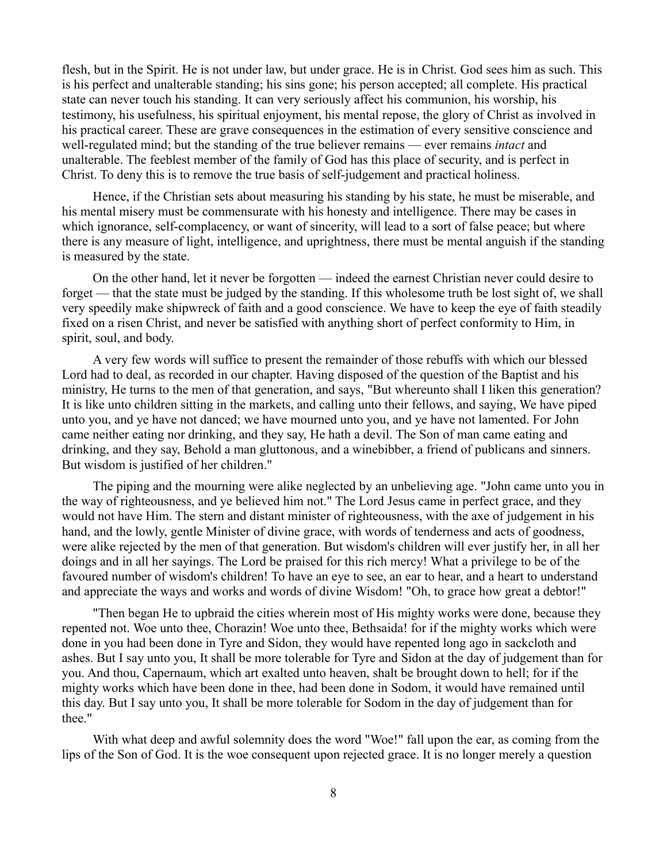flesh, but in the Spirit. He is not under law, but under grace. He is in Christ. God sees him as such. This is his perfect and unalterable standing; his sins gone; his person accepted; all complete. His practical state can never touch his standing. It can very seriously affect his communion, his worship, his testimony, his usefulness, his spiritual enjoyment, his mental repose, the glory of Christ as involved in his practical career. These are grave consequences in the estimation of every sensitive conscience and well-regulated mind; but the standing of the true believer remains — ever remains *intact* and unalterable. The feeblest member of the family of God has this place of security, and is perfect in Christ. To deny this is to remove the true basis of self-judgement and practical holiness.

Hence, if the Christian sets about measuring his standing by his state, he must be miserable, and his mental misery must be commensurate with his honesty and intelligence. There may be cases in which ignorance, self-complacency, or want of sincerity, will lead to a sort of false peace; but where there is any measure of light, intelligence, and uprightness, there must be mental anguish if the standing is measured by the state.

On the other hand, let it never be forgotten — indeed the earnest Christian never could desire to forget — that the state must be judged by the standing. If this wholesome truth be lost sight of, we shall very speedily make shipwreck of faith and a good conscience. We have to keep the eye of faith steadily fixed on a risen Christ, and never be satisfied with anything short of perfect conformity to Him, in spirit, soul, and body.

A very few words will suffice to present the remainder of those rebuffs with which our blessed Lord had to deal, as recorded in our chapter. Having disposed of the question of the Baptist and his ministry, He turns to the men of that generation, and says, "But whereunto shall I liken this generation? It is like unto children sitting in the markets, and calling unto their fellows, and saying, We have piped unto you, and ye have not danced; we have mourned unto you, and ye have not lamented. For John came neither eating nor drinking, and they say, He hath a devil. The Son of man came eating and drinking, and they say, Behold a man gluttonous, and a winebibber, a friend of publicans and sinners. But wisdom is justified of her children."

The piping and the mourning were alike neglected by an unbelieving age. "John came unto you in the way of righteousness, and ye believed him not." The Lord Jesus came in perfect grace, and they would not have Him. The stern and distant minister of righteousness, with the axe of judgement in his hand, and the lowly, gentle Minister of divine grace, with words of tenderness and acts of goodness, were alike rejected by the men of that generation. But wisdom's children will ever justify her, in all her doings and in all her sayings. The Lord be praised for this rich mercy! What a privilege to be of the favoured number of wisdom's children! To have an eye to see, an ear to hear, and a heart to understand and appreciate the ways and works and words of divine Wisdom! "Oh, to grace how great a debtor!"

"Then began He to upbraid the cities wherein most of His mighty works were done, because they repented not. Woe unto thee, Chorazin! Woe unto thee, Bethsaida! for if the mighty works which were done in you had been done in Tyre and Sidon, they would have repented long ago in sackcloth and ashes. But I say unto you, It shall be more tolerable for Tyre and Sidon at the day of judgement than for you. And thou, Capernaum, which art exalted unto heaven, shalt be brought down to hell; for if the mighty works which have been done in thee, had been done in Sodom, it would have remained until this day. But I say unto you, It shall be more tolerable for Sodom in the day of judgement than for thee."

With what deep and awful solemnity does the word "Woe!" fall upon the ear, as coming from the lips of the Son of God. It is the woe consequent upon rejected grace. It is no longer merely a question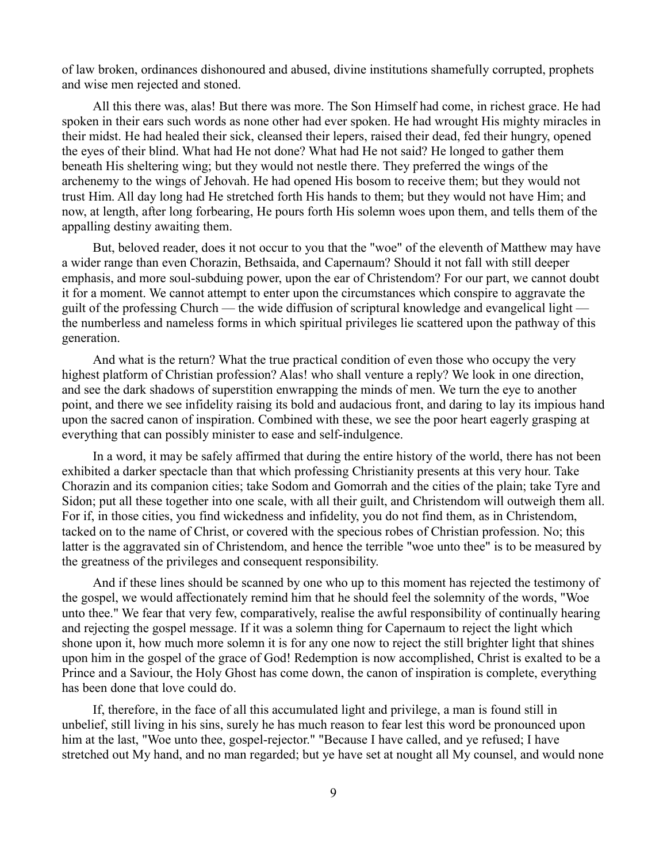of law broken, ordinances dishonoured and abused, divine institutions shamefully corrupted, prophets and wise men rejected and stoned.

All this there was, alas! But there was more. The Son Himself had come, in richest grace. He had spoken in their ears such words as none other had ever spoken. He had wrought His mighty miracles in their midst. He had healed their sick, cleansed their lepers, raised their dead, fed their hungry, opened the eyes of their blind. What had He not done? What had He not said? He longed to gather them beneath His sheltering wing; but they would not nestle there. They preferred the wings of the archenemy to the wings of Jehovah. He had opened His bosom to receive them; but they would not trust Him. All day long had He stretched forth His hands to them; but they would not have Him; and now, at length, after long forbearing, He pours forth His solemn woes upon them, and tells them of the appalling destiny awaiting them.

But, beloved reader, does it not occur to you that the "woe" of the eleventh of Matthew may have a wider range than even Chorazin, Bethsaida, and Capernaum? Should it not fall with still deeper emphasis, and more soul-subduing power, upon the ear of Christendom? For our part, we cannot doubt it for a moment. We cannot attempt to enter upon the circumstances which conspire to aggravate the guilt of the professing Church — the wide diffusion of scriptural knowledge and evangelical light the numberless and nameless forms in which spiritual privileges lie scattered upon the pathway of this generation.

And what is the return? What the true practical condition of even those who occupy the very highest platform of Christian profession? Alas! who shall venture a reply? We look in one direction, and see the dark shadows of superstition enwrapping the minds of men. We turn the eye to another point, and there we see infidelity raising its bold and audacious front, and daring to lay its impious hand upon the sacred canon of inspiration. Combined with these, we see the poor heart eagerly grasping at everything that can possibly minister to ease and self-indulgence.

In a word, it may be safely affirmed that during the entire history of the world, there has not been exhibited a darker spectacle than that which professing Christianity presents at this very hour. Take Chorazin and its companion cities; take Sodom and Gomorrah and the cities of the plain; take Tyre and Sidon; put all these together into one scale, with all their guilt, and Christendom will outweigh them all. For if, in those cities, you find wickedness and infidelity, you do not find them, as in Christendom, tacked on to the name of Christ, or covered with the specious robes of Christian profession. No; this latter is the aggravated sin of Christendom, and hence the terrible "woe unto thee" is to be measured by the greatness of the privileges and consequent responsibility.

And if these lines should be scanned by one who up to this moment has rejected the testimony of the gospel, we would affectionately remind him that he should feel the solemnity of the words, "Woe unto thee." We fear that very few, comparatively, realise the awful responsibility of continually hearing and rejecting the gospel message. If it was a solemn thing for Capernaum to reject the light which shone upon it, how much more solemn it is for any one now to reject the still brighter light that shines upon him in the gospel of the grace of God! Redemption is now accomplished, Christ is exalted to be a Prince and a Saviour, the Holy Ghost has come down, the canon of inspiration is complete, everything has been done that love could do.

If, therefore, in the face of all this accumulated light and privilege, a man is found still in unbelief, still living in his sins, surely he has much reason to fear lest this word be pronounced upon him at the last, "Woe unto thee, gospel-rejector." "Because I have called, and ye refused; I have stretched out My hand, and no man regarded; but ye have set at nought all My counsel, and would none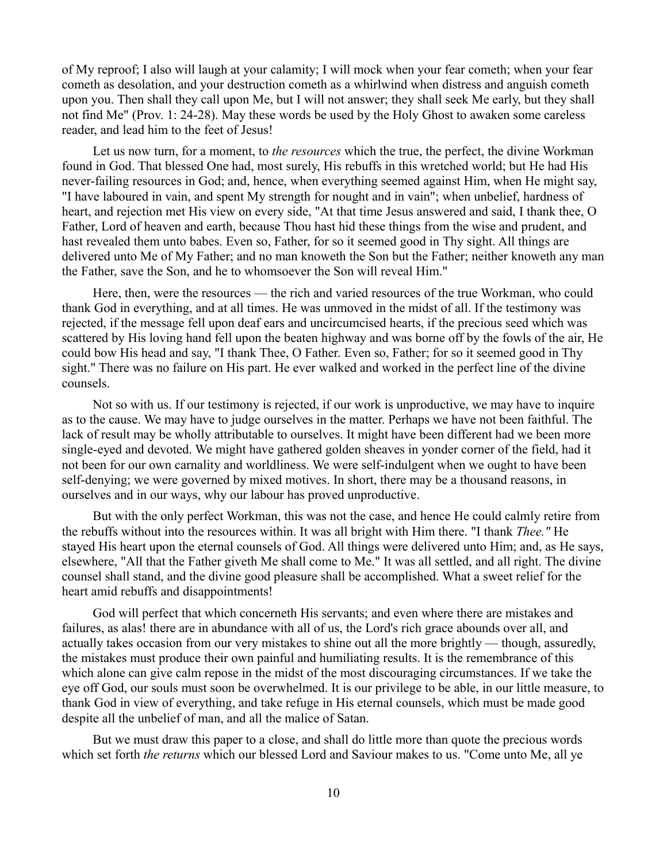of My reproof; I also will laugh at your calamity; I will mock when your fear cometh; when your fear cometh as desolation, and your destruction cometh as a whirlwind when distress and anguish cometh upon you. Then shall they call upon Me, but I will not answer; they shall seek Me early, but they shall not find Me" (Prov. 1: 24-28). May these words be used by the Holy Ghost to awaken some careless reader, and lead him to the feet of Jesus!

Let us now turn, for a moment, to *the resources* which the true, the perfect, the divine Workman found in God. That blessed One had, most surely, His rebuffs in this wretched world; but He had His never-failing resources in God; and, hence, when everything seemed against Him, when He might say, "I have laboured in vain, and spent My strength for nought and in vain"; when unbelief, hardness of heart, and rejection met His view on every side, "At that time Jesus answered and said, I thank thee, O Father, Lord of heaven and earth, because Thou hast hid these things from the wise and prudent, and hast revealed them unto babes. Even so, Father, for so it seemed good in Thy sight. All things are delivered unto Me of My Father; and no man knoweth the Son but the Father; neither knoweth any man the Father, save the Son, and he to whomsoever the Son will reveal Him."

Here, then, were the resources — the rich and varied resources of the true Workman, who could thank God in everything, and at all times. He was unmoved in the midst of all. If the testimony was rejected, if the message fell upon deaf ears and uncircumcised hearts, if the precious seed which was scattered by His loving hand fell upon the beaten highway and was borne off by the fowls of the air, He could bow His head and say, "I thank Thee, O Father. Even so, Father; for so it seemed good in Thy sight." There was no failure on His part. He ever walked and worked in the perfect line of the divine counsels.

Not so with us. If our testimony is rejected, if our work is unproductive, we may have to inquire as to the cause. We may have to judge ourselves in the matter. Perhaps we have not been faithful. The lack of result may be wholly attributable to ourselves. It might have been different had we been more single-eyed and devoted. We might have gathered golden sheaves in yonder corner of the field, had it not been for our own carnality and worldliness. We were self-indulgent when we ought to have been self-denying; we were governed by mixed motives. In short, there may be a thousand reasons, in ourselves and in our ways, why our labour has proved unproductive.

But with the only perfect Workman, this was not the case, and hence He could calmly retire from the rebuffs without into the resources within. It was all bright with Him there. "I thank *Thee."* He stayed His heart upon the eternal counsels of God. All things were delivered unto Him; and, as He says, elsewhere, "All that the Father giveth Me shall come to Me." It was all settled, and all right. The divine counsel shall stand, and the divine good pleasure shall be accomplished. What a sweet relief for the heart amid rebuffs and disappointments!

God will perfect that which concerneth His servants; and even where there are mistakes and failures, as alas! there are in abundance with all of us, the Lord's rich grace abounds over all, and actually takes occasion from our very mistakes to shine out all the more brightly — though, assuredly, the mistakes must produce their own painful and humiliating results. It is the remembrance of this which alone can give calm repose in the midst of the most discouraging circumstances. If we take the eye off God, our souls must soon be overwhelmed. It is our privilege to be able, in our little measure, to thank God in view of everything, and take refuge in His eternal counsels, which must be made good despite all the unbelief of man, and all the malice of Satan.

But we must draw this paper to a close, and shall do little more than quote the precious words which set forth *the returns* which our blessed Lord and Saviour makes to us. "Come unto Me, all ye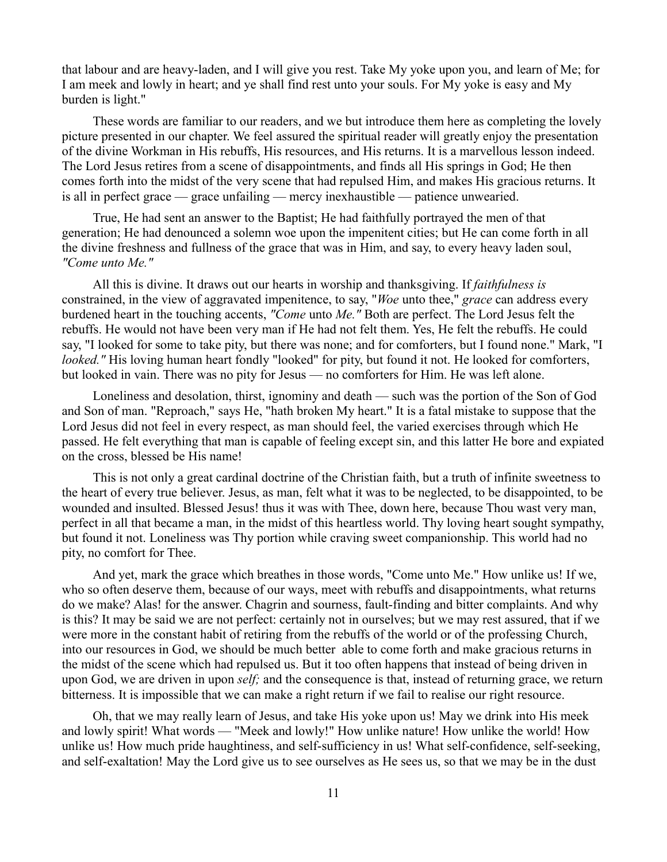that labour and are heavy-laden, and I will give you rest. Take My yoke upon you, and learn of Me; for I am meek and lowly in heart; and ye shall find rest unto your souls. For My yoke is easy and My burden is light."

These words are familiar to our readers, and we but introduce them here as completing the lovely picture presented in our chapter. We feel assured the spiritual reader will greatly enjoy the presentation of the divine Workman in His rebuffs, His resources, and His returns. It is a marvellous lesson indeed. The Lord Jesus retires from a scene of disappointments, and finds all His springs in God; He then comes forth into the midst of the very scene that had repulsed Him, and makes His gracious returns. It is all in perfect grace — grace unfailing — mercy inexhaustible — patience unwearied.

True, He had sent an answer to the Baptist; He had faithfully portrayed the men of that generation; He had denounced a solemn woe upon the impenitent cities; but He can come forth in all the divine freshness and fullness of the grace that was in Him, and say, to every heavy laden soul, *"Come unto Me."*

All this is divine. It draws out our hearts in worship and thanksgiving. If *faithfulness is* constrained, in the view of aggravated impenitence, to say, "*Woe* unto thee," *grace* can address every burdened heart in the touching accents, *"Come* unto *Me."* Both are perfect. The Lord Jesus felt the rebuffs. He would not have been very man if He had not felt them. Yes, He felt the rebuffs. He could say, "I looked for some to take pity, but there was none; and for comforters, but I found none." Mark, "I *looked."* His loving human heart fondly "looked" for pity, but found it not. He looked for comforters, but looked in vain. There was no pity for Jesus — no comforters for Him. He was left alone.

Loneliness and desolation, thirst, ignominy and death — such was the portion of the Son of God and Son of man. "Reproach," says He, "hath broken My heart." It is a fatal mistake to suppose that the Lord Jesus did not feel in every respect, as man should feel, the varied exercises through which He passed. He felt everything that man is capable of feeling except sin, and this latter He bore and expiated on the cross, blessed be His name!

This is not only a great cardinal doctrine of the Christian faith, but a truth of infinite sweetness to the heart of every true believer. Jesus, as man, felt what it was to be neglected, to be disappointed, to be wounded and insulted. Blessed Jesus! thus it was with Thee, down here, because Thou wast very man, perfect in all that became a man, in the midst of this heartless world. Thy loving heart sought sympathy, but found it not. Loneliness was Thy portion while craving sweet companionship. This world had no pity, no comfort for Thee.

And yet, mark the grace which breathes in those words, "Come unto Me." How unlike us! If we, who so often deserve them, because of our ways, meet with rebuffs and disappointments, what returns do we make? Alas! for the answer. Chagrin and sourness, fault-finding and bitter complaints. And why is this? It may be said we are not perfect: certainly not in ourselves; but we may rest assured, that if we were more in the constant habit of retiring from the rebuffs of the world or of the professing Church, into our resources in God, we should be much better able to come forth and make gracious returns in the midst of the scene which had repulsed us. But it too often happens that instead of being driven in upon God, we are driven in upon *self;* and the consequence is that, instead of returning grace, we return bitterness. It is impossible that we can make a right return if we fail to realise our right resource.

Oh, that we may really learn of Jesus, and take His yoke upon us! May we drink into His meek and lowly spirit! What words — "Meek and lowly!" How unlike nature! How unlike the world! How unlike us! How much pride haughtiness, and self-sufficiency in us! What self-confidence, self-seeking, and self-exaltation! May the Lord give us to see ourselves as He sees us, so that we may be in the dust